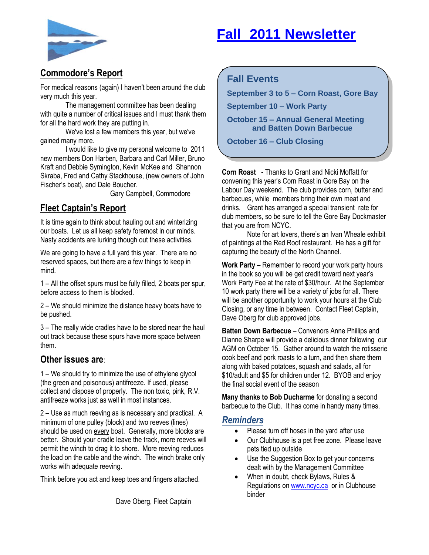# **Fall 2011 Newsletter**



## **Commodore's Report**

For medical reasons (again) I haven't been around the club very much this year.

The management committee has been dealing with quite a number of critical issues and I must thank them for all the hard work they are putting in.

We've lost a few members this year, but we've gained many more.

I would like to give my personal welcome to 2011 new members Don Harben, Barbara and Carl Miller, Bruno Kraft and Debbie Symington, Kevin McKee and Shannon Skraba, Fred and Cathy Stackhouse, (new owners of John Fischer's boat), and Dale Boucher.

Gary Campbell, Commodore

# **Fleet Captain's Report**

It is time again to think about hauling out and winterizing our boats. Let us all keep safety foremost in our minds. Nasty accidents are lurking though out these activities.

We are going to have a full yard this year. There are no reserved spaces, but there are a few things to keep in mind.

1 – All the offset spurs must be fully filled, 2 boats per spur, before access to them is blocked.

2 – We should minimize the distance heavy boats have to be pushed.

3 – The really wide cradles have to be stored near the haul out track because these spurs have more space between them.

#### **Other issues are**:

1 – We should try to minimize the use of ethylene glycol (the green and poisonous) antifreeze. If used, please collect and dispose of properly. The non toxic, pink, R.V. antifreeze works just as well in most instances.

2 – Use as much reeving as is necessary and practical. A minimum of one pulley (block) and two reeves (lines) should be used on every boat. Generally, more blocks are better. Should your cradle leave the track, more reeves will permit the winch to drag it to shore. More reeving reduces the load on the cable and the winch. The winch brake only works with adequate reeving.

Think before you act and keep toes and fingers attached.

Dave Oberg, Fleet Captain

#### $\mathcal{L}_{\text{max}}$  we compute  $\mathbf{S}$  to  $\mathbf{S}$  - Cornelistic Bayer Bayer Bayer Bayer Bayer Bayer Bayer Bayer Bayer Bayer Bayer Bayer Bayer **Fall Events**

**September 3 to 5 – Corn Roast, Gore Bay** 

**September 10 – Work Party** 

**October 15 – Annual General Meeting and Batten Down Barbecue**

**October 16 – Club Closing**

**Corn Roast -** Thanks to Grant and Nicki Moffatt for convening this year's Corn Roast in Gore Bay on the Labour Day weekend. The club provides corn, butter and barbecues, while members bring their own meat and drinks. Grant has arranged a special transient rate for club members, so be sure to tell the Gore Bay Dockmaster that you are from NCYC.

Note for art lovers, there's an Ivan Wheale exhibit of paintings at the Red Roof restaurant. He has a gift for capturing the beauty of the North Channel.

**Work Party** – Remember to record your work party hours in the book so you will be get credit toward next year's Work Party Fee at the rate of \$30/hour. At the September 10 work party there will be a variety of jobs for all. There will be another opportunity to work your hours at the Club Closing, or any time in between. Contact Fleet Captain, Dave Oberg for club approved jobs.

**Batten Down Barbecue** – Convenors Anne Phillips and Dianne Sharpe will provide a delicious dinner following our AGM on October 15. Gather around to watch the rotisserie cook beef and pork roasts to a turn, and then share them along with baked potatoes, squash and salads, all for \$10/adult and \$5 for children under 12. BYOB and enjoy the final social event of the season

**Many thanks to Bob Ducharme** for donating a second barbecue to the Club. It has come in handy many times.

#### *Reminders*

- Please turn off hoses in the yard after use
- Our Clubhouse is a pet free zone. Please leave pets tied up outside
- Use the Suggestion Box to get your concerns dealt with by the Management Committee
- When in doubt, check Bylaws, Rules & Regulations o[n www.ncyc.ca](http://www.ncyc.ca/) or in Clubhouse binder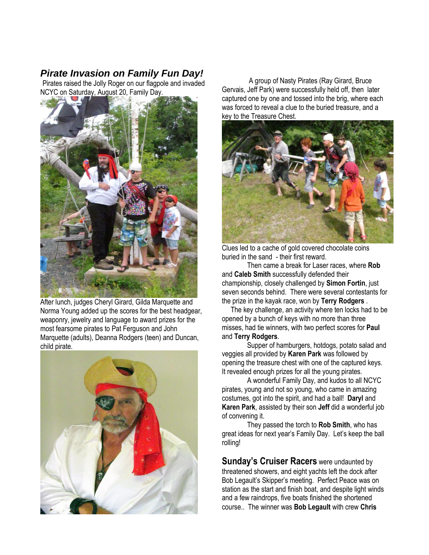### *Pirate Invasion on Family Fun Day!*

Pirates raised the Jolly Roger on our flagpole and invaded NCYC on Saturday, August 20, Family Day.



After lunch, judges Cheryl Girard, Gilda Marquette and Norma Young added up the scores for the best headgear, weaponry, jewelry and language to award prizes for the most fearsome pirates to Pat Ferguson and John Marquette (adults), Deanna Rodgers (teen) and Duncan, child pirate.



A group of Nasty Pirates (Ray Girard, Bruce Gervais, Jeff Park) were successfully held off, then later captured one by one and tossed into the brig, where each was forced to reveal a clue to the buried treasure, and a key to the Treasure Chest.



Clues led to a cache of gold covered chocolate coins buried in the sand - their first reward.

Then came a break for Laser races, where **Rob**  and **Caleb Smith** successfully defended their championship, closely challenged by **Simon Fortin**, just seven seconds behind. There were several contestants for the prize in the kayak race, won by **Terry Rodgers** .

 The key challenge, an activity where ten locks had to be opened by a bunch of keys with no more than three misses, had tie winners, with two perfect scores for **Paul** and **Terry Rodgers**.

Supper of hamburgers, hotdogs, potato salad and veggies all provided by **Karen Park** was followed by opening the treasure chest with one of the captured keys. It revealed enough prizes for all the young pirates.

A wonderful Family Day, and kudos to all NCYC pirates, young and not so young, who came in amazing costumes, got into the spirit, and had a ball! **Daryl** and **Karen Park**, assisted by their son **Jeff** did a wonderful job of convening it.

They passed the torch to **Rob Smith**, who has great ideas for next year's Family Day. Let's keep the ball rolling!

**Sunday's Cruiser Racers** were undaunted by threatened showers, and eight yachts left the dock after Bob Legault's Skipper's meeting. Perfect Peace was on station as the start and finish boat, and despite light winds and a few raindrops, five boats finished the shortened course.. The winner was **Bob Legault** with crew **Chris**